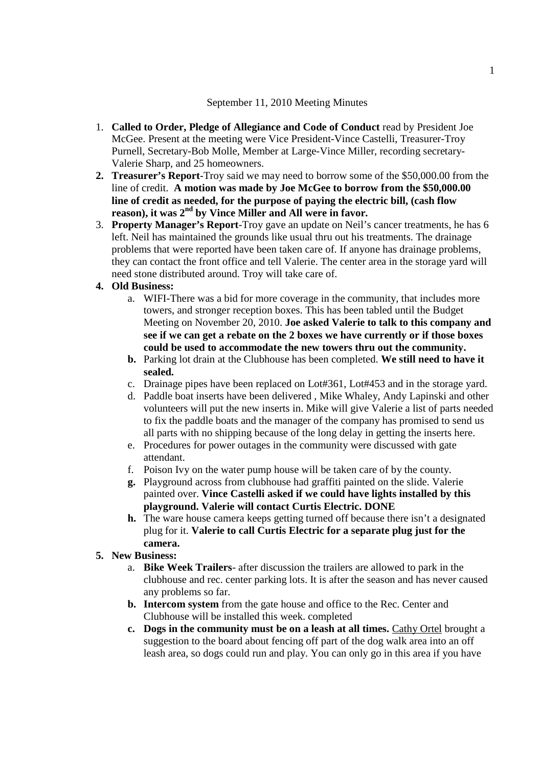### September 11, 2010 Meeting Minutes

- 1. **Called to Order, Pledge of Allegiance and Code of Conduct** read by President Joe McGee. Present at the meeting were Vice President-Vince Castelli, Treasurer-Troy Purnell, Secretary-Bob Molle, Member at Large-Vince Miller, recording secretary-Valerie Sharp, and 25 homeowners.
- **2. Treasurer's Report**-Troy said we may need to borrow some of the \$50,000.00 from the line of credit. **A motion was made by Joe McGee to borrow from the \$50,000.00 line of credit as needed, for the purpose of paying the electric bill, (cash flow reason), it was 2nd by Vince Miller and All were in favor.**
- 3. **Property Manager's Report**-Troy gave an update on Neil's cancer treatments, he has 6 left. Neil has maintained the grounds like usual thru out his treatments. The drainage problems that were reported have been taken care of. If anyone has drainage problems, they can contact the front office and tell Valerie. The center area in the storage yard will need stone distributed around. Troy will take care of.

## **4. Old Business:**

- a. WIFI-There was a bid for more coverage in the community, that includes more towers, and stronger reception boxes. This has been tabled until the Budget Meeting on November 20, 2010. **Joe asked Valerie to talk to this company and see if we can get a rebate on the 2 boxes we have currently or if those boxes could be used to accommodate the new towers thru out the community.**
- **b.** Parking lot drain at the Clubhouse has been completed. **We still need to have it sealed.**
- c. Drainage pipes have been replaced on Lot#361, Lot#453 and in the storage yard.
- d. Paddle boat inserts have been delivered , Mike Whaley, Andy Lapinski and other volunteers will put the new inserts in. Mike will give Valerie a list of parts needed to fix the paddle boats and the manager of the company has promised to send us all parts with no shipping because of the long delay in getting the inserts here.
- e. Procedures for power outages in the community were discussed with gate attendant.
- f. Poison Ivy on the water pump house will be taken care of by the county.
- **g.** Playground across from clubhouse had graffiti painted on the slide. Valerie painted over. **Vince Castelli asked if we could have lights installed by this playground. Valerie will contact Curtis Electric. DONE**
- **h.** The ware house camera keeps getting turned off because there isn't a designated plug for it. **Valerie to call Curtis Electric for a separate plug just for the camera.**

### **5. New Business:**

- a. **Bike Week Trailers** after discussion the trailers are allowed to park in the clubhouse and rec. center parking lots. It is after the season and has never caused any problems so far.
- **b. Intercom system** from the gate house and office to the Rec. Center and Clubhouse will be installed this week. completed
- **c. Dogs in the community must be on a leash at all times.** Cathy Ortel brought a suggestion to the board about fencing off part of the dog walk area into an off leash area, so dogs could run and play. You can only go in this area if you have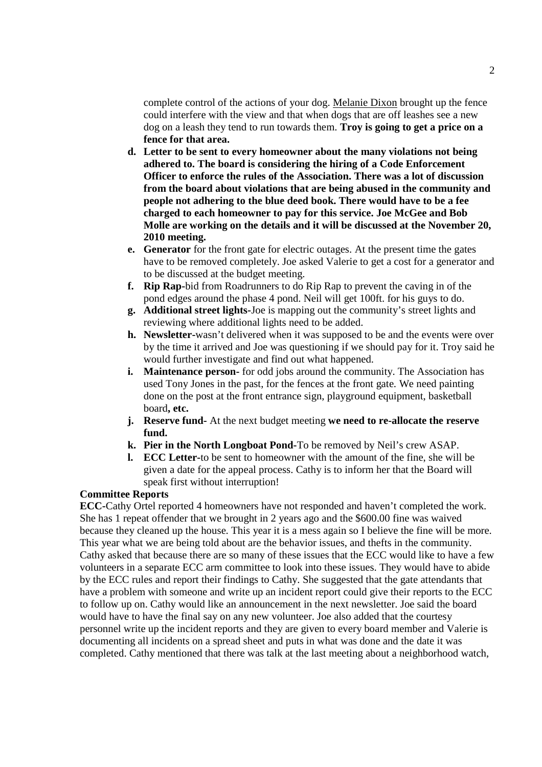complete control of the actions of your dog. Melanie Dixon brought up the fence could interfere with the view and that when dogs that are off leashes see a new dog on a leash they tend to run towards them. **Troy is going to get a price on a fence for that area.**

- **d. Letter to be sent to every homeowner about the many violations not being adhered to. The board is considering the hiring of a Code Enforcement Officer to enforce the rules of the Association. There was a lot of discussion from the board about violations that are being abused in the community and people not adhering to the blue deed book. There would have to be a fee charged to each homeowner to pay for this service. Joe McGee and Bob Molle are working on the details and it will be discussed at the November 20, 2010 meeting.**
- **e. Generator** for the front gate for electric outages. At the present time the gates have to be removed completely. Joe asked Valerie to get a cost for a generator and to be discussed at the budget meeting.
- **f. Rip Rap-**bid from Roadrunners to do Rip Rap to prevent the caving in of the pond edges around the phase 4 pond. Neil will get 100ft. for his guys to do.
- **g. Additional street lights-**Joe is mapping out the community's street lights and reviewing where additional lights need to be added.
- **h. Newsletter-**wasn't delivered when it was supposed to be and the events were over by the time it arrived and Joe was questioning if we should pay for it. Troy said he would further investigate and find out what happened.
- **i. Maintenance person-** for odd jobs around the community. The Association has used Tony Jones in the past, for the fences at the front gate. We need painting done on the post at the front entrance sign, playground equipment, basketball board**, etc.**
- **j. Reserve fund-** At the next budget meeting **we need to re-allocate the reserve fund.**
- **k. Pier in the North Longboat Pond-**To be removed by Neil's crew ASAP.
- **l. ECC Letter-**to be sent to homeowner with the amount of the fine, she will be given a date for the appeal process. Cathy is to inform her that the Board will speak first without interruption!

# **Committee Reports**

**ECC-**Cathy Ortel reported 4 homeowners have not responded and haven't completed the work. She has 1 repeat offender that we brought in 2 years ago and the \$600.00 fine was waived because they cleaned up the house. This year it is a mess again so I believe the fine will be more. This year what we are being told about are the behavior issues, and thefts in the community. Cathy asked that because there are so many of these issues that the ECC would like to have a few volunteers in a separate ECC arm committee to look into these issues. They would have to abide by the ECC rules and report their findings to Cathy. She suggested that the gate attendants that have a problem with someone and write up an incident report could give their reports to the ECC to follow up on. Cathy would like an announcement in the next newsletter. Joe said the board would have to have the final say on any new volunteer. Joe also added that the courtesy personnel write up the incident reports and they are given to every board member and Valerie is documenting all incidents on a spread sheet and puts in what was done and the date it was completed. Cathy mentioned that there was talk at the last meeting about a neighborhood watch,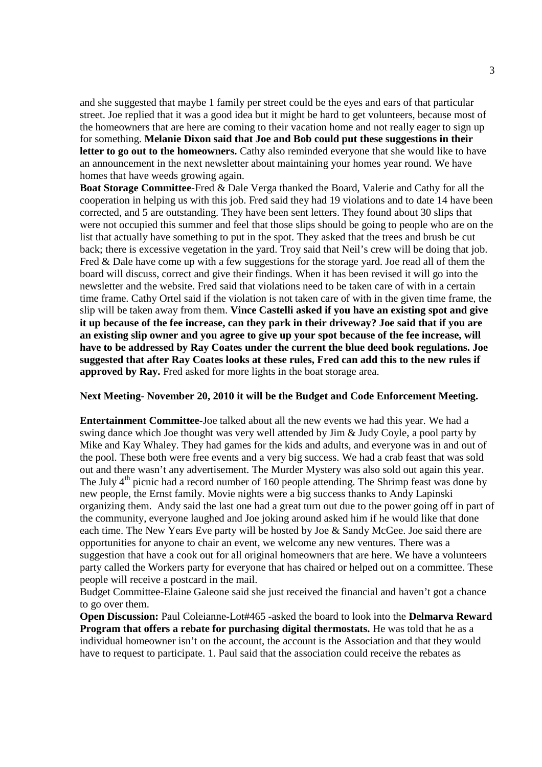and she suggested that maybe 1 family per street could be the eyes and ears of that particular street. Joe replied that it was a good idea but it might be hard to get volunteers, because most of the homeowners that are here are coming to their vacation home and not really eager to sign up for something. **Melanie Dixon said that Joe and Bob could put these suggestions in their letter to go out to the homeowners.** Cathy also reminded everyone that she would like to have an announcement in the next newsletter about maintaining your homes year round. We have homes that have weeds growing again.

**Boat Storage Committee-**Fred & Dale Verga thanked the Board, Valerie and Cathy for all the cooperation in helping us with this job. Fred said they had 19 violations and to date 14 have been corrected, and 5 are outstanding. They have been sent letters. They found about 30 slips that were not occupied this summer and feel that those slips should be going to people who are on the list that actually have something to put in the spot. They asked that the trees and brush be cut back; there is excessive vegetation in the yard. Troy said that Neil's crew will be doing that job. Fred & Dale have come up with a few suggestions for the storage yard. Joe read all of them the board will discuss, correct and give their findings. When it has been revised it will go into the newsletter and the website. Fred said that violations need to be taken care of with in a certain time frame. Cathy Ortel said if the violation is not taken care of with in the given time frame, the slip will be taken away from them. **Vince Castelli asked if you have an existing spot and give it up because of the fee increase, can they park in their driveway? Joe said that if you are an existing slip owner and you agree to give up your spot because of the fee increase, will have to be addressed by Ray Coates under the current the blue deed book regulations. Joe suggested that after Ray Coates looks at these rules, Fred can add this to the new rules if approved by Ray.** Fred asked for more lights in the boat storage area.

### **Next Meeting- November 20, 2010 it will be the Budget and Code Enforcement Meeting.**

**Entertainment Committee**-Joe talked about all the new events we had this year. We had a swing dance which Joe thought was very well attended by Jim & Judy Coyle, a pool party by Mike and Kay Whaley. They had games for the kids and adults, and everyone was in and out of the pool. These both were free events and a very big success. We had a crab feast that was sold out and there wasn't any advertisement. The Murder Mystery was also sold out again this year. The July  $4<sup>th</sup>$  picnic had a record number of 160 people attending. The Shrimp feast was done by new people, the Ernst family. Movie nights were a big success thanks to Andy Lapinski organizing them. Andy said the last one had a great turn out due to the power going off in part of the community, everyone laughed and Joe joking around asked him if he would like that done each time. The New Years Eve party will be hosted by Joe & Sandy McGee. Joe said there are opportunities for anyone to chair an event, we welcome any new ventures. There was a suggestion that have a cook out for all original homeowners that are here. We have a volunteers party called the Workers party for everyone that has chaired or helped out on a committee. These people will receive a postcard in the mail.

Budget Committee-Elaine Galeone said she just received the financial and haven't got a chance to go over them.

**Open Discussion:** Paul Coleianne-Lot#465 -asked the board to look into the **Delmarva Reward Program that offers a rebate for purchasing digital thermostats.** He was told that he as a individual homeowner isn't on the account, the account is the Association and that they would have to request to participate. 1. Paul said that the association could receive the rebates as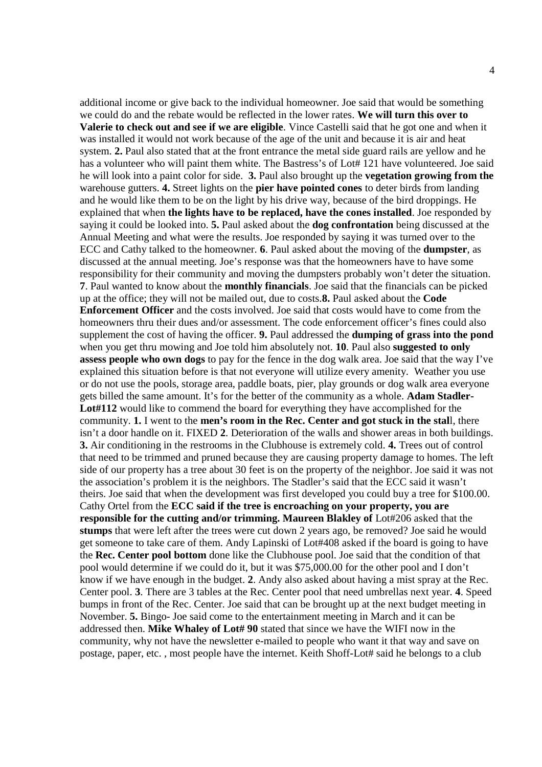additional income or give back to the individual homeowner. Joe said that would be something we could do and the rebate would be reflected in the lower rates. **We will turn this over to Valerie to check out and see if we are eligible**. Vince Castelli said that he got one and when it was installed it would not work because of the age of the unit and because it is air and heat system. **2.** Paul also stated that at the front entrance the metal side guard rails are yellow and he has a volunteer who will paint them white. The Bastress's of Lot# 121 have volunteered. Joe said he will look into a paint color for side. **3.** Paul also brought up the **vegetation growing from the** warehouse gutters. **4.** Street lights on the **pier have pointed cones** to deter birds from landing and he would like them to be on the light by his drive way, because of the bird droppings. He explained that when **the lights have to be replaced, have the cones installed**. Joe responded by saying it could be looked into. **5.** Paul asked about the **dog confrontation** being discussed at the Annual Meeting and what were the results. Joe responded by saying it was turned over to the ECC and Cathy talked to the homeowner. **6**. Paul asked about the moving of the **dumpster**, as discussed at the annual meeting. Joe's response was that the homeowners have to have some responsibility for their community and moving the dumpsters probably won't deter the situation. **7**. Paul wanted to know about the **monthly financials**. Joe said that the financials can be picked up at the office; they will not be mailed out, due to costs.**8.** Paul asked about the **Code Enforcement Officer** and the costs involved. Joe said that costs would have to come from the homeowners thru their dues and/or assessment. The code enforcement officer's fines could also supplement the cost of having the officer. **9.** Paul addressed the **dumping of grass into the pond** when you get thru mowing and Joe told him absolutely not. **10**. Paul also **suggested to only assess people who own dogs** to pay for the fence in the dog walk area. Joe said that the way I've explained this situation before is that not everyone will utilize every amenity. Weather you use or do not use the pools, storage area, paddle boats, pier, play grounds or dog walk area everyone gets billed the same amount. It's for the better of the community as a whole. **Adam Stadler-Lot#112** would like to commend the board for everything they have accomplished for the community. **1.** I went to the **men's room in the Rec. Center and got stuck in the stal**l, there isn't a door handle on it. FIXED **2**. Deterioration of the walls and shower areas in both buildings. **3.** Air conditioning in the restrooms in the Clubhouse is extremely cold. **4.** Trees out of control that need to be trimmed and pruned because they are causing property damage to homes. The left side of our property has a tree about 30 feet is on the property of the neighbor. Joe said it was not the association's problem it is the neighbors. The Stadler's said that the ECC said it wasn't theirs. Joe said that when the development was first developed you could buy a tree for \$100.00. Cathy Ortel from the **ECC said if the tree is encroaching on your property, you are responsible for the cutting and/or trimming. Maureen Blakley of** Lot#206 asked that the **stumps** that were left after the trees were cut down 2 years ago, be removed? Joe said he would get someone to take care of them. Andy Lapinski of Lot#408 asked if the board is going to have the **Rec. Center pool bottom** done like the Clubhouse pool. Joe said that the condition of that pool would determine if we could do it, but it was \$75,000.00 for the other pool and I don't know if we have enough in the budget. **2**. Andy also asked about having a mist spray at the Rec. Center pool. **3**. There are 3 tables at the Rec. Center pool that need umbrellas next year. **4**. Speed bumps in front of the Rec. Center. Joe said that can be brought up at the next budget meeting in November. **5.** Bingo- Joe said come to the entertainment meeting in March and it can be addressed then. **Mike Whaley of Lot# 90** stated that since we have the WIFI now in the community, why not have the newsletter e-mailed to people who want it that way and save on postage, paper, etc. , most people have the internet. Keith Shoff-Lot# said he belongs to a club